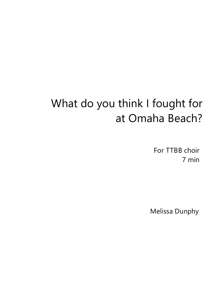## What do you think I fought for at Omaha Beach?

For TTBB choir 7 min

Melissa Dunphy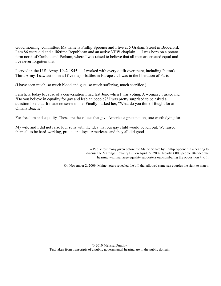Good morning, committee. My name is Phillip Spooner and I live at 5 Graham Street in Biddeford. I am 86 years old and a lifetime Republican and an active VFW chaplain … I was born on a potato farm north of Caribou and Perham, where I was raised to believe that all men are created equal and I've never forgotten that.

I served in the U.S. Army, 1942-1945 … I worked with every outfit over there, including Patton's Third Army. I saw action in all five major battles in Europe … I was in the liberation of Paris.

(I have seen much, so much blood and guts, so much suffering, much sacrifice.)

I am here today because of a conversation I had last June when I was voting. A woman … asked me, "Do you believe in equality for gay and lesbian people?" I was pretty surprised to be asked a question like that. It made no sense to me. Finally I asked her, "What do you think I fought for at Omaha Beach?"

For freedom and equality. These are the values that give America a great nation, one worth dying for.

My wife and I did not raise four sons with the idea that our gay child would be left out. We raised them all to be hard-working, proud, and loyal Americans and they all did good.

> -- Public testimony given before the Maine Senate by Phillip Spooner in a hearing to discuss the Marriage Equality Bill on April 22, 2009. Nearly 4,000 people attended the hearing, with marriage equality supporters out-numbering the opposition 4 to 1.

On November 2, 2009, Maine voters repealed the bill that allowed same-sex couples the right to marry.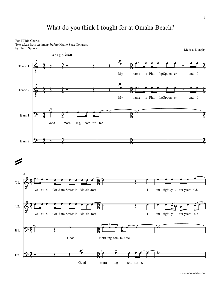## What do you think I fought for at Omaha Beach?

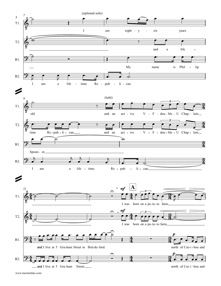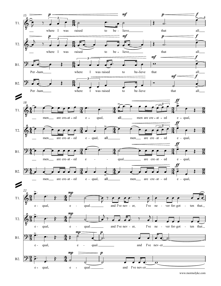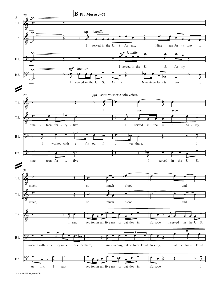

www.mormolyke.com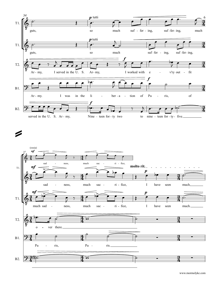

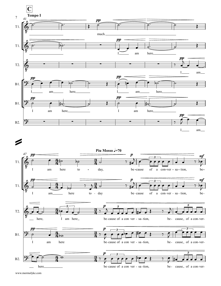

www.mormolyke.com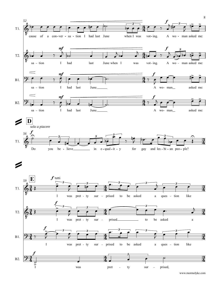

www.mormolyke.com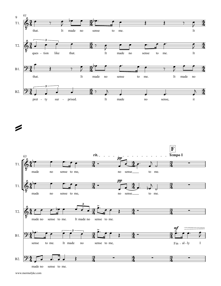

made no sense to me.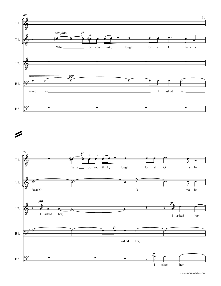

www.mormolyke.com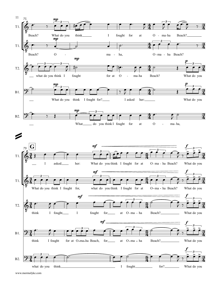

www.mormolyke.com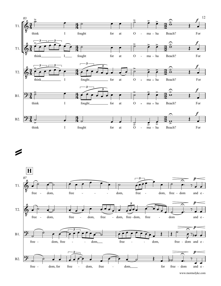

## $\overline{\phantom{a}}$



www.mormolyke.com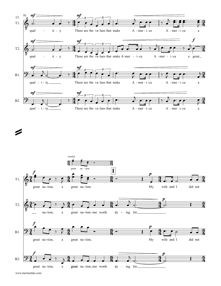



www.mormolyke.com

 $\boldsymbol{z}$